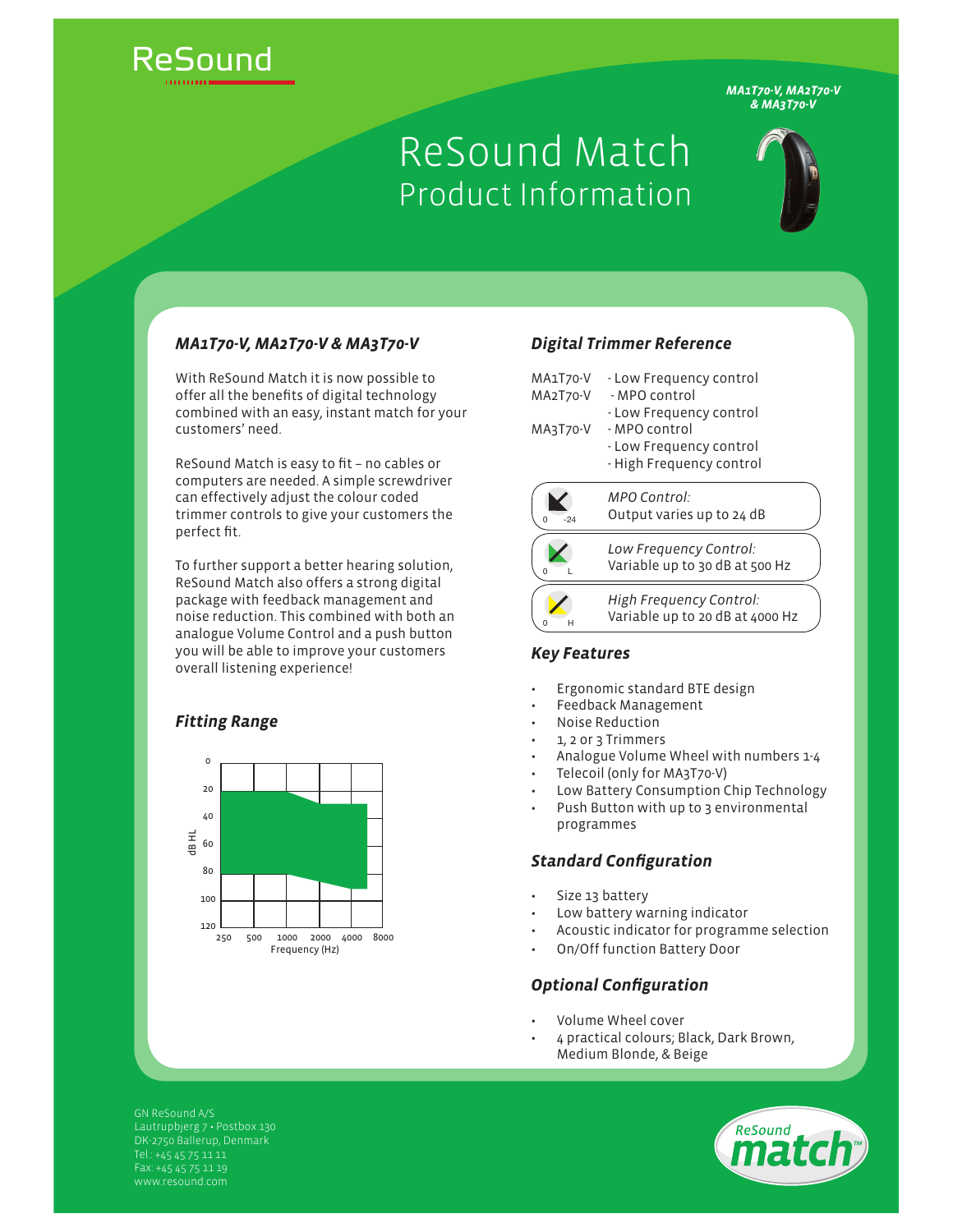

*MA1T70-V, MA2T70-V & MA3T70-V*

# ReSound Match Product Information



# *MA1T70-V, MA2T70-V & MA3T70-V*

With ReSound Match it is now possible to offer all the benefits of digital technology combined with an easy, instant match for your customers' need.

ReSound Match is easy to fit - no cables or computers are needed. A simple screwdriver can effectively adjust the colour coded trimmer controls to give your customers the perfect fit.

To further support a better hearing solution, ReSound Match also offers a strong digital package with feedback management and noise reduction. This combined with both an analogue Volume Control and a push button you will be able to improve your customers overall listening experience!

# *Fitting Range*



## *Digital Trimmer Reference*

| MA1T70-V<br>MA2T70-V | - Low Frequency control<br>- MPO control<br>- Low Frequency control  |
|----------------------|----------------------------------------------------------------------|
| MA3T70-V             | - MPO control<br>- Low Frequency control<br>- High Frequency control |
| $-24$                | MPO Control:<br>Output varies up to 24 dB                            |
|                      | Low Frequency Control:<br>Variable up to 30 dB at 500 Hz             |
|                      | High Frequency Control:<br>Variable up to 20 dB at 4000 Hz           |

#### *Key Features*

- Ergonomic standard BTE design
- Feedback Management
- Noise Reduction
- 1, 2 or 3 Trimmers
- Analogue Volume Wheel with numbers 1-4
- Telecoil (only for MA3T70-V)
- Low Battery Consumption Chip Technology
- Push Button with up to 3 environmental programmes

### **Standard Configuration**

- Size 13 battery
- Low battery warning indicator
- Acoustic indicator for programme selection
- On/Off function Battery Door

# **Optional Configuration**

- Volume Wheel cover
- 4 practical colours; Black, Dark Brown, Medium Blonde, & Beige

GN ReSound A/S Lautrupbjerg 7 · Postbox 130 DK-2750 Ballerup, Denmark Fax: +45 45 75 11 19